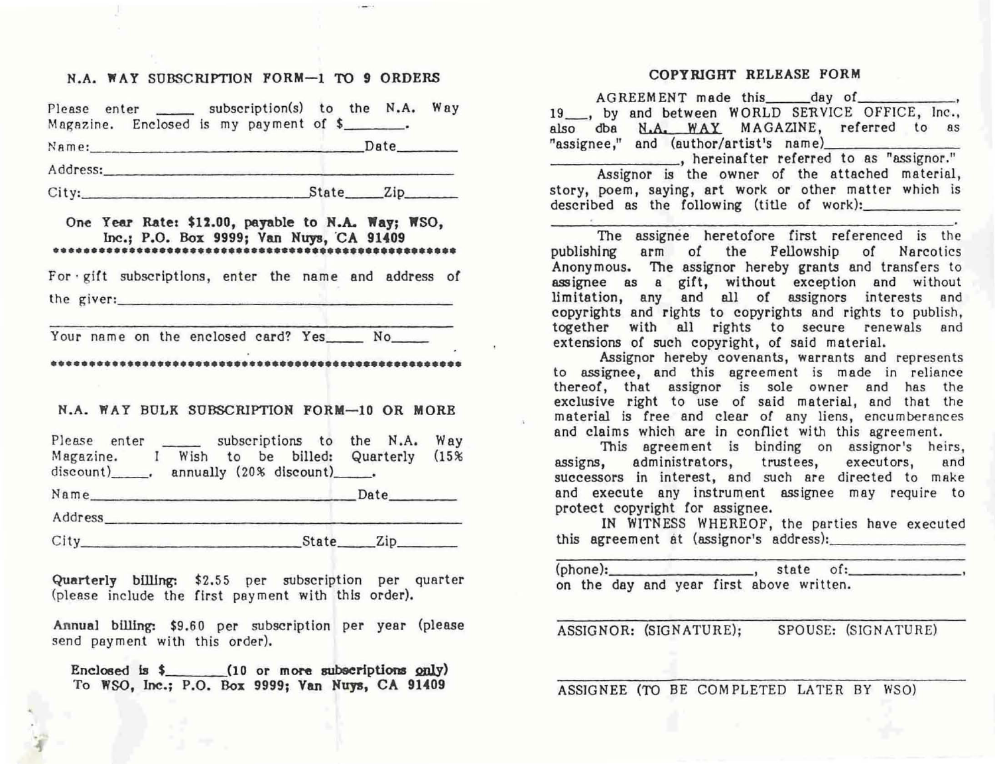## N.A. WAY SUBSCRIPTION FORM-1 TO 9 ORDERS

Please enter \_\_\_\_\_\_ subscription(s) to the N.A. Way Magazine. Enclosed is my payment of  $\frac{1}{2}$ . NAme: \_\_\_\_\_\_\_\_\_\_\_\_\_\_\_\_\_ Date \_\_\_ \_

Address: where the contract of the contract of the contract of the contract of the contract of the contract of the contract of the contract of the contract of the contract of the contract of the contract of the contract of

City: State Zip, 2008.

## One Year Rate: \$12.00, payable to N.A. Way; WSO, Inc.; P.O. Box 9999; Van Huys, 'CA 91409 **•••••••••••••••••••••••••••••••••••••••••••••••••••••**

For · gift subscriptions, enter the name and address of the giver:  $\blacksquare$ 

Your name on the enclosed card? Yes No

**••••••••••••••••••••••••••••••••••••••••••••••••••••••** 

## N.A. WAY BULK SUBSCRIPTION FORM-10 OR MORE

| Please enter  | subscriptions to the N.A.       |      | Way               |
|---------------|---------------------------------|------|-------------------|
| Magazine.     | to be billed: Quarterly<br>Wish |      | (15%              |
| $discount)$ . | annually (20% discount)______.  |      |                   |
|               |                                 | Date | <b>Contractor</b> |
| Address_____  |                                 |      |                   |
| City          | State_                          | Zip. |                   |

Quarterly billing: \$2.55 per subscription per quarter (please include the first payment with this order).

Annual billing: \$9.60 per subscription per year (please send payment with this order).

Enclosed is \$ (10 or more subscriptions only) To WSO, Inc.; P.O. Box 9999; Van Huys, CA 91409

## COPYRIGHT RELEASE PORM

AGREEMENT made this day of , and the same of the same of  $\sim$ 19\_, by and between WORLD SERVICE OFFICE, Inc., also dba N.A. WAY MAGAZINE, referred to as  $"assignee," and (author/artist's name)$ "assignee," and (author/artist's name)<br>
, hereinafter referred to as "assignor." Assignor is the owner of the attached material, story, poem, saying, art work or other matter which is described as the following (title of work):

The assignee heretofore first referenced is the publishing arm of the Fellowship of Narcotics Anonymous. The assignor hereby grants and transfers to assignee as a gift, without exception and without limitation, any and all of assignors interests end copyrights and rights to copyrights and rights to publish, together with all rights to secure renewals end extensions of such copyright, of said material.

Assignor hereby covenants, warrants and represents to assignee, and this agreement is made in reliance thereof, that assignor is sole owner end has the exclusive right to use of said material, and that the material is free and clear of any liens, encumberances and claims which are in conflict with this agreement.

This agreement is binding on assignor's heirs, assigns, administrators, trustees, executors, and successors in interest, and such are directed to make and execute any instrument assignee may require to protect copyright for assignee.

IN WITNESS WHEREOF, the parties have executed this agreement at (assignor's address):

| (phone): |  |  | $\sim$ , state of:                       |  |  |
|----------|--|--|------------------------------------------|--|--|
|          |  |  | on the day and year first above written. |  |  |

ASSIGNOR: (SIGNATURE); SPOUSE: (SIGNATURE)

ASSIGNEE (TO BE COMPLETED LATER BY WSO)